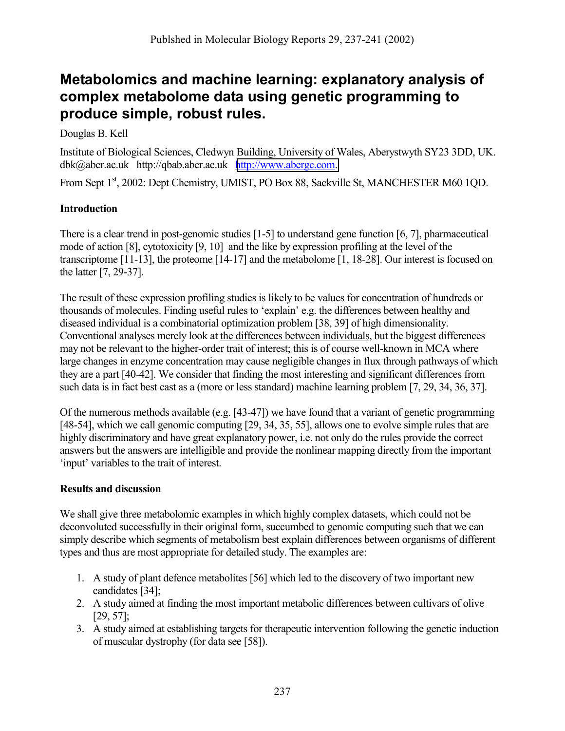## **Metabolomics and machine learning: explanatory analysis of complex metabolome data using genetic programming to produce simple, robust rules.**

## Douglas B. Kell

Institute of Biological Sciences, Cledwyn Building, University of Wales, Aberystwyth SY23 3DD, UK. dbk@aber.ac.uk http://qbab.aber.ac.uk [http://www.abergc.com.](http://www.abergc.com/) 

From Sept 1st, 2002: Dept Chemistry, UMIST, PO Box 88, Sackville St, MANCHESTER M60 1QD.

## **Introduction**

There is a clear trend in post-genomic studies [1-5] to understand gene function [6, 7], pharmaceutical mode of action [8], cytotoxicity [9, 10] and the like by expression profiling at the level of the transcriptome [11-13], the proteome [14-17] and the metabolome [1, 18-28]. Our interest is focused on the latter [7, 29-37].

The result of these expression profiling studies is likely to be values for concentration of hundreds or thousands of molecules. Finding useful rules to 'explain' e.g. the differences between healthy and diseased individual is a combinatorial optimization problem [38, 39] of high dimensionality. Conventional analyses merely look at the differences between individuals, but the biggest differences may not be relevant to the higher-order trait of interest; this is of course well-known in MCA where large changes in enzyme concentration may cause negligible changes in flux through pathways of which they are a part [40-42]. We consider that finding the most interesting and significant differences from such data is in fact best cast as a (more or less standard) machine learning problem [7, 29, 34, 36, 37].

Of the numerous methods available (e.g. [43-47]) we have found that a variant of genetic programming [48-54], which we call genomic computing [29, 34, 35, 55], allows one to evolve simple rules that are highly discriminatory and have great explanatory power, i.e. not only do the rules provide the correct answers but the answers are intelligible and provide the nonlinear mapping directly from the important 'input' variables to the trait of interest.

## **Results and discussion**

We shall give three metabolomic examples in which highly complex datasets, which could not be deconvoluted successfully in their original form, succumbed to genomic computing such that we can simply describe which segments of metabolism best explain differences between organisms of different types and thus are most appropriate for detailed study. The examples are:

- 1. A study of plant defence metabolites [56] which led to the discovery of two important new candidates [34];
- 2. A study aimed at finding the most important metabolic differences between cultivars of olive [29, 57];
- 3. A study aimed at establishing targets for therapeutic intervention following the genetic induction of muscular dystrophy (for data see [58]).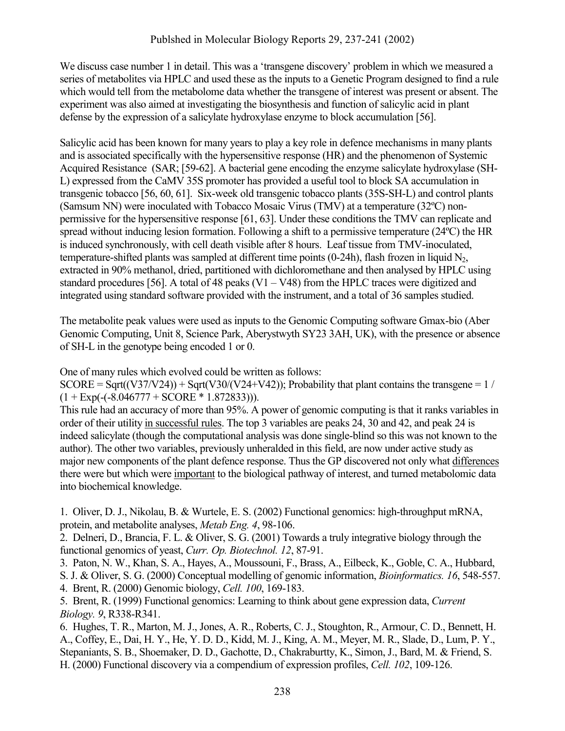We discuss case number 1 in detail. This was a 'transgene discovery' problem in which we measured a series of metabolites via HPLC and used these as the inputs to a Genetic Program designed to find a rule which would tell from the metabolome data whether the transgene of interest was present or absent. The experiment was also aimed at investigating the biosynthesis and function of salicylic acid in plant defense by the expression of a salicylate hydroxylase enzyme to block accumulation [56].

Salicylic acid has been known for many years to play a key role in defence mechanisms in many plants and is associated specifically with the hypersensitive response (HR) and the phenomenon of Systemic Acquired Resistance (SAR; [59-62]. A bacterial gene encoding the enzyme salicylate hydroxylase (SH-L) expressed from the CaMV 35S promoter has provided a useful tool to block SA accumulation in transgenic tobacco [56, 60, 61]. Six-week old transgenic tobacco plants (35S-SH-L) and control plants (Samsum NN) were inoculated with Tobacco Mosaic Virus (TMV) at a temperature (32ºC) nonpermissive for the hypersensitive response [61, 63]. Under these conditions the TMV can replicate and spread without inducing lesion formation. Following a shift to a permissive temperature (24ºC) the HR is induced synchronously, with cell death visible after 8 hours. Leaf tissue from TMV-inoculated, temperature-shifted plants was sampled at different time points (0-24h), flash frozen in liquid  $N_2$ , extracted in 90% methanol, dried, partitioned with dichloromethane and then analysed by HPLC using standard procedures [56]. A total of 48 peaks  $(V1 - V48)$  from the HPLC traces were digitized and integrated using standard software provided with the instrument, and a total of 36 samples studied.

The metabolite peak values were used as inputs to the Genomic Computing software Gmax-bio (Aber Genomic Computing, Unit 8, Science Park, Aberystwyth SY23 3AH, UK), with the presence or absence of SH-L in the genotype being encoded 1 or 0.

One of many rules which evolved could be written as follows:

 $SCORE = Sqrt(V37/V24) + Sqrt(V30/(V24+V42))$ ; Probability that plant contains the transgene = 1 /  $(1 + \text{Exp}(-6.046777 + \text{SCORE} * 1.872833))).$ 

This rule had an accuracy of more than 95%. A power of genomic computing is that it ranks variables in order of their utility in successful rules. The top 3 variables are peaks 24, 30 and 42, and peak 24 is indeed salicylate (though the computational analysis was done single-blind so this was not known to the author). The other two variables, previously unheralded in this field, are now under active study as major new components of the plant defence response. Thus the GP discovered not only what differences there were but which were important to the biological pathway of interest, and turned metabolomic data into biochemical knowledge.

1. Oliver, D. J., Nikolau, B. & Wurtele, E. S. (2002) Functional genomics: high-throughput mRNA, protein, and metabolite analyses, *Metab Eng. 4*, 98-106.

2. Delneri, D., Brancia, F. L. & Oliver, S. G. (2001) Towards a truly integrative biology through the functional genomics of yeast, *Curr. Op. Biotechnol. 12*, 87-91.

3. Paton, N. W., Khan, S. A., Hayes, A., Moussouni, F., Brass, A., Eilbeck, K., Goble, C. A., Hubbard,

S. J. & Oliver, S. G. (2000) Conceptual modelling of genomic information, *Bioinformatics. 16*, 548-557. 4. Brent, R. (2000) Genomic biology, *Cell. 100*, 169-183.

5. Brent, R. (1999) Functional genomics: Learning to think about gene expression data, *Current Biology. 9*, R338-R341.

6. Hughes, T. R., Marton, M. J., Jones, A. R., Roberts, C. J., Stoughton, R., Armour, C. D., Bennett, H. A., Coffey, E., Dai, H. Y., He, Y. D. D., Kidd, M. J., King, A. M., Meyer, M. R., Slade, D., Lum, P. Y., Stepaniants, S. B., Shoemaker, D. D., Gachotte, D., Chakraburtty, K., Simon, J., Bard, M. & Friend, S. H. (2000) Functional discovery via a compendium of expression profiles, *Cell. 102*, 109-126.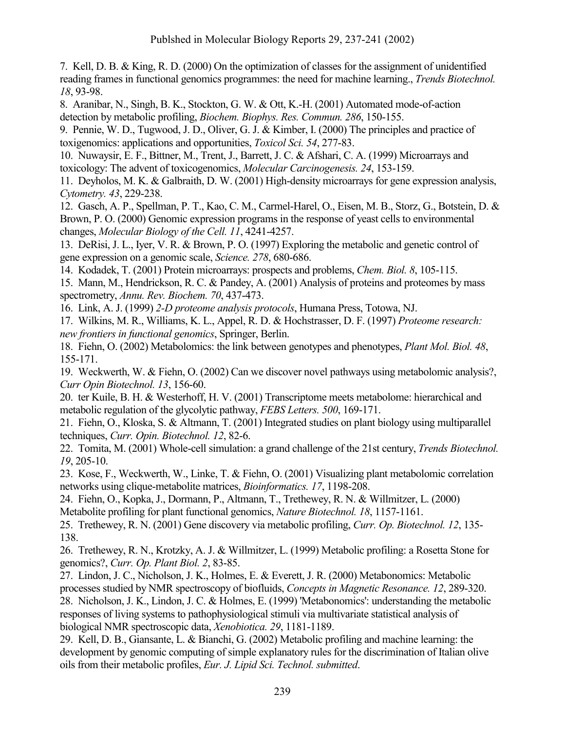7. Kell, D. B. & King, R. D. (2000) On the optimization of classes for the assignment of unidentified reading frames in functional genomics programmes: the need for machine learning., *Trends Biotechnol. 18*, 93-98.

8. Aranibar, N., Singh, B. K., Stockton, G. W. & Ott, K.-H. (2001) Automated mode-of-action detection by metabolic profiling, *Biochem. Biophys. Res. Commun. 286*, 150-155.

9. Pennie, W. D., Tugwood, J. D., Oliver, G. J. & Kimber, I. (2000) The principles and practice of toxigenomics: applications and opportunities, *Toxicol Sci. 54*, 277-83.

10. Nuwaysir, E. F., Bittner, M., Trent, J., Barrett, J. C. & Afshari, C. A. (1999) Microarrays and toxicology: The advent of toxicogenomics, *Molecular Carcinogenesis. 24*, 153-159.

11. Deyholos, M. K. & Galbraith, D. W. (2001) High-density microarrays for gene expression analysis, *Cytometry. 43*, 229-238.

12. Gasch, A. P., Spellman, P. T., Kao, C. M., Carmel-Harel, O., Eisen, M. B., Storz, G., Botstein, D. & Brown, P. O. (2000) Genomic expression programs in the response of yeast cells to environmental changes, *Molecular Biology of the Cell. 11*, 4241-4257.

13. DeRisi, J. L., Iyer, V. R. & Brown, P. O. (1997) Exploring the metabolic and genetic control of gene expression on a genomic scale, *Science. 278*, 680-686.

14. Kodadek, T. (2001) Protein microarrays: prospects and problems, *Chem. Biol. 8*, 105-115.

15. Mann, M., Hendrickson, R. C. & Pandey, A. (2001) Analysis of proteins and proteomes by mass spectrometry, *Annu. Rev. Biochem. 70*, 437-473.

16. Link, A. J. (1999) *2-D proteome analysis protocols*, Humana Press, Totowa, NJ.

17. Wilkins, M. R., Williams, K. L., Appel, R. D. & Hochstrasser, D. F. (1997) *Proteome research: new frontiers in functional genomics*, Springer, Berlin.

18. Fiehn, O. (2002) Metabolomics: the link between genotypes and phenotypes, *Plant Mol. Biol. 48*, 155-171.

19. Weckwerth, W. & Fiehn, O. (2002) Can we discover novel pathways using metabolomic analysis?, *Curr Opin Biotechnol. 13*, 156-60.

20. ter Kuile, B. H. & Westerhoff, H. V. (2001) Transcriptome meets metabolome: hierarchical and metabolic regulation of the glycolytic pathway, *FEBS Letters. 500*, 169-171.

21. Fiehn, O., Kloska, S. & Altmann, T. (2001) Integrated studies on plant biology using multiparallel techniques, *Curr. Opin. Biotechnol. 12*, 82-6.

22. Tomita, M. (2001) Whole-cell simulation: a grand challenge of the 21st century, *Trends Biotechnol. 19*, 205-10.

23. Kose, F., Weckwerth, W., Linke, T. & Fiehn, O. (2001) Visualizing plant metabolomic correlation networks using clique-metabolite matrices, *Bioinformatics. 17*, 1198-208.

24. Fiehn, O., Kopka, J., Dormann, P., Altmann, T., Trethewey, R. N. & Willmitzer, L. (2000) Metabolite profiling for plant functional genomics, *Nature Biotechnol. 18*, 1157-1161.

25. Trethewey, R. N. (2001) Gene discovery via metabolic profiling, *Curr. Op. Biotechnol. 12*, 135- 138.

26. Trethewey, R. N., Krotzky, A. J. & Willmitzer, L. (1999) Metabolic profiling: a Rosetta Stone for genomics?, *Curr. Op. Plant Biol. 2*, 83-85.

27. Lindon, J. C., Nicholson, J. K., Holmes, E. & Everett, J. R. (2000) Metabonomics: Metabolic processes studied by NMR spectroscopy of biofluids, *Concepts in Magnetic Resonance. 12*, 289-320.

28. Nicholson, J. K., Lindon, J. C. & Holmes, E. (1999) 'Metabonomics': understanding the metabolic responses of living systems to pathophysiological stimuli via multivariate statistical analysis of biological NMR spectroscopic data, *Xenobiotica. 29*, 1181-1189.

29. Kell, D. B., Giansante, L. & Bianchi, G. (2002) Metabolic profiling and machine learning: the development by genomic computing of simple explanatory rules for the discrimination of Italian olive oils from their metabolic profiles, *Eur. J. Lipid Sci. Technol. submitted*.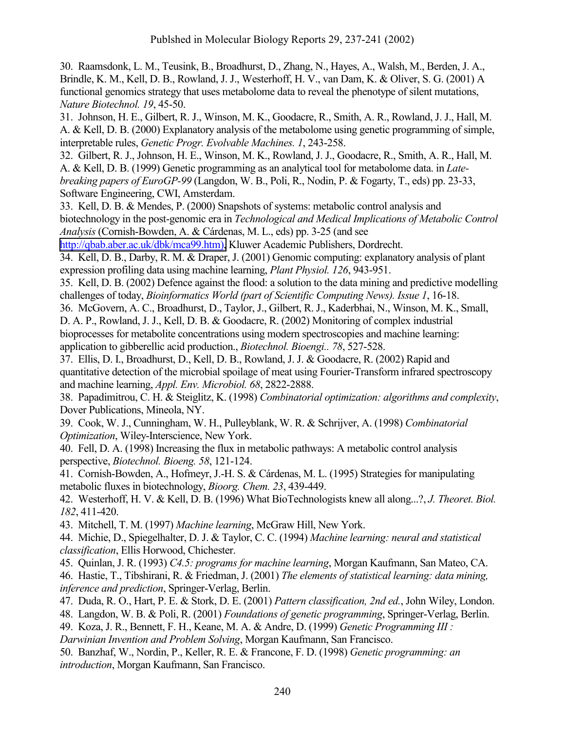30. Raamsdonk, L. M., Teusink, B., Broadhurst, D., Zhang, N., Hayes, A., Walsh, M., Berden, J. A., Brindle, K. M., Kell, D. B., Rowland, J. J., Westerhoff, H. V., van Dam, K. & Oliver, S. G. (2001) A functional genomics strategy that uses metabolome data to reveal the phenotype of silent mutations, *Nature Biotechnol. 19*, 45-50.

31. Johnson, H. E., Gilbert, R. J., Winson, M. K., Goodacre, R., Smith, A. R., Rowland, J. J., Hall, M. A. & Kell, D. B. (2000) Explanatory analysis of the metabolome using genetic programming of simple, interpretable rules, *Genetic Progr. Evolvable Machines. 1*, 243-258.

32. Gilbert, R. J., Johnson, H. E., Winson, M. K., Rowland, J. J., Goodacre, R., Smith, A. R., Hall, M. A. & Kell, D. B. (1999) Genetic programming as an analytical tool for metabolome data. in *Latebreaking papers of EuroGP-99* (Langdon, W. B., Poli, R., Nodin, P. & Fogarty, T., eds) pp. 23-33, Software Engineering, CWI, Amsterdam.

33. Kell, D. B. & Mendes, P. (2000) Snapshots of systems: metabolic control analysis and biotechnology in the post-genomic era in *Technological and Medical Implications of Metabolic Control Analysis* (Cornish-Bowden, A. & Cárdenas, M. L., eds) pp. 3-25 (and see

[http://qbab.aber.ac.uk/dbk/mca99.htm\),](http://qbab.aber.ac.uk/dbk/mca99.htm)) Kluwer Academic Publishers, Dordrecht.

34. Kell, D. B., Darby, R. M. & Draper, J. (2001) Genomic computing: explanatory analysis of plant expression profiling data using machine learning, *Plant Physiol. 126*, 943-951.

35. Kell, D. B. (2002) Defence against the flood: a solution to the data mining and predictive modelling challenges of today, *Bioinformatics World (part of Scientific Computing News). Issue 1*, 16-18.

36. McGovern, A. C., Broadhurst, D., Taylor, J., Gilbert, R. J., Kaderbhai, N., Winson, M. K., Small, D. A. P., Rowland, J. J., Kell, D. B. & Goodacre, R. (2002) Monitoring of complex industrial bioprocesses for metabolite concentrations using modern spectroscopies and machine learning: application to gibberellic acid production., *Biotechnol. Bioengi.. 78*, 527-528.

37. Ellis, D. I., Broadhurst, D., Kell, D. B., Rowland, J. J. & Goodacre, R. (2002) Rapid and quantitative detection of the microbial spoilage of meat using Fourier-Transform infrared spectroscopy and machine learning, *Appl. Env. Microbiol. 68*, 2822-2888.

38. Papadimitrou, C. H. & Steiglitz, K. (1998) *Combinatorial optimization: algorithms and complexity*, Dover Publications, Mineola, NY.

39. Cook, W. J., Cunningham, W. H., Pulleyblank, W. R. & Schrijver, A. (1998) *Combinatorial Optimization*, Wiley-Interscience, New York.

40. Fell, D. A. (1998) Increasing the flux in metabolic pathways: A metabolic control analysis perspective, *Biotechnol. Bioeng. 58*, 121-124.

41. Cornish-Bowden, A., Hofmeyr, J.-H. S. & Cárdenas, M. L. (1995) Strategies for manipulating metabolic fluxes in biotechnology, *Bioorg. Chem. 23*, 439-449.

42. Westerhoff, H. V. & Kell, D. B. (1996) What BioTechnologists knew all along...?, *J. Theoret. Biol. 182*, 411-420.

43. Mitchell, T. M. (1997) *Machine learning*, McGraw Hill, New York.

44. Michie, D., Spiegelhalter, D. J. & Taylor, C. C. (1994) *Machine learning: neural and statistical classification*, Ellis Horwood, Chichester.

45. Quinlan, J. R. (1993) *C4.5: programs for machine learning*, Morgan Kaufmann, San Mateo, CA.

46. Hastie, T., Tibshirani, R. & Friedman, J. (2001) *The elements of statistical learning: data mining, inference and prediction*, Springer-Verlag, Berlin.

47. Duda, R. O., Hart, P. E. & Stork, D. E. (2001) *Pattern classification, 2nd ed.*, John Wiley, London.

48. Langdon, W. B. & Poli, R. (2001) *Foundations of genetic programming*, Springer-Verlag, Berlin.

49. Koza, J. R., Bennett, F. H., Keane, M. A. & Andre, D. (1999) *Genetic Programming III :* 

*Darwinian Invention and Problem Solving*, Morgan Kaufmann, San Francisco.

50. Banzhaf, W., Nordin, P., Keller, R. E. & Francone, F. D. (1998) *Genetic programming: an introduction*, Morgan Kaufmann, San Francisco.